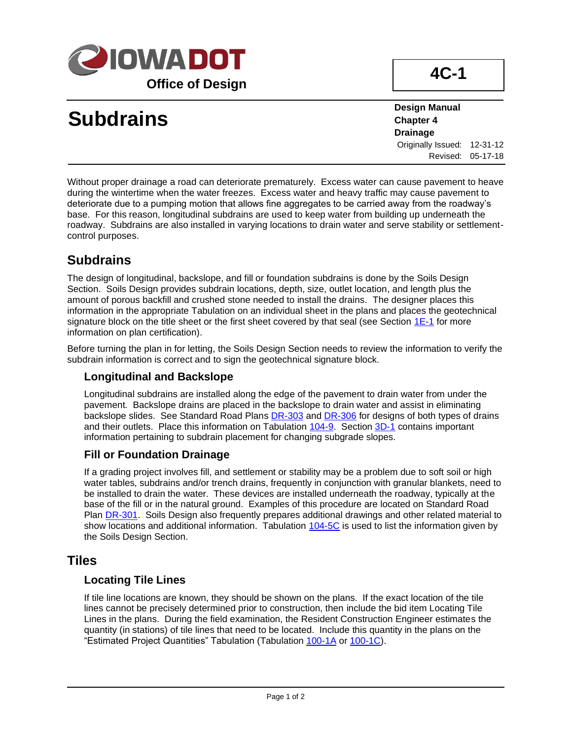

# **Subdrains**

**Design Manual Chapter 4 Drainage** Originally Issued: 12-31-12 Revised: 05-17-18

Without proper drainage a road can deteriorate prematurely. Excess water can cause pavement to heave during the wintertime when the water freezes. Excess water and heavy traffic may cause pavement to deteriorate due to a pumping motion that allows fine aggregates to be carried away from the roadway's base. For this reason, longitudinal subdrains are used to keep water from building up underneath the roadway. Subdrains are also installed in varying locations to drain water and serve stability or settlementcontrol purposes.

### **Subdrains**

The design of longitudinal, backslope, and fill or foundation subdrains is done by the Soils Design Section. Soils Design provides subdrain locations, depth, size, outlet location, and length plus the amount of porous backfill and crushed stone needed to install the drains. The designer places this information in the appropriate Tabulation on an individual sheet in the plans and places the geotechnical signature block on the title sheet or the first sheet covered by that seal (see Section  $1E-1$  for more information on plan certification).

Before turning the plan in for letting, the Soils Design Section needs to review the information to verify the subdrain information is correct and to sign the geotechnical signature block.

#### **Longitudinal and Backslope**

Longitudinal subdrains are installed along the edge of the pavement to drain water from under the pavement. Backslope drains are placed in the backslope to drain water and assist in eliminating backslope slides. See Standard Road Plans **[DR-303](../SRP/IndividualStandards/dr303.pdf)** and **DR-306** for designs of both types of drains and their outlets. Place this information on Tabulation [104-9.](../tnt/PDFsandWebFiles/IndividualPDFs/0104-09.PDF) Section [3D-1](03d-01.pdf) contains important information pertaining to subdrain placement for changing subgrade slopes.

#### **Fill or Foundation Drainage**

If a grading project involves fill, and settlement or stability may be a problem due to soft soil or high water tables, subdrains and/or trench drains, frequently in conjunction with granular blankets, need to be installed to drain the water. These devices are installed underneath the roadway, typically at the base of the fill or in the natural ground. Examples of this procedure are located on Standard Road Plan [DR-301.](../SRP/IndividualStandards/dr301.pdf) Soils Design also frequently prepares additional drawings and other related material to show locations and additional information. Tabulation [104-5C](../tnt/PDFsandWebFiles/IndividualPDFs/0104-05C.PDF) is used to list the information given by the Soils Design Section.

#### **Tiles**

#### **Locating Tile Lines**

If tile line locations are known, they should be shown on the plans. If the exact location of the tile lines cannot be precisely determined prior to construction, then include the bid item Locating Tile Lines in the plans. During the field examination, the Resident Construction Engineer estimates the quantity (in stations) of tile lines that need to be located. Include this quantity in the plans on the "Estimated Project Quantities" Tabulation (Tabulation [100-1A](../tnt/PDFsandWebFiles/IndividualPDFs/0100-00A.PDF) o[r 100-1C\)](../tnt/PDFsandWebFiles/IndividualPDFs/0100-01C.PDF).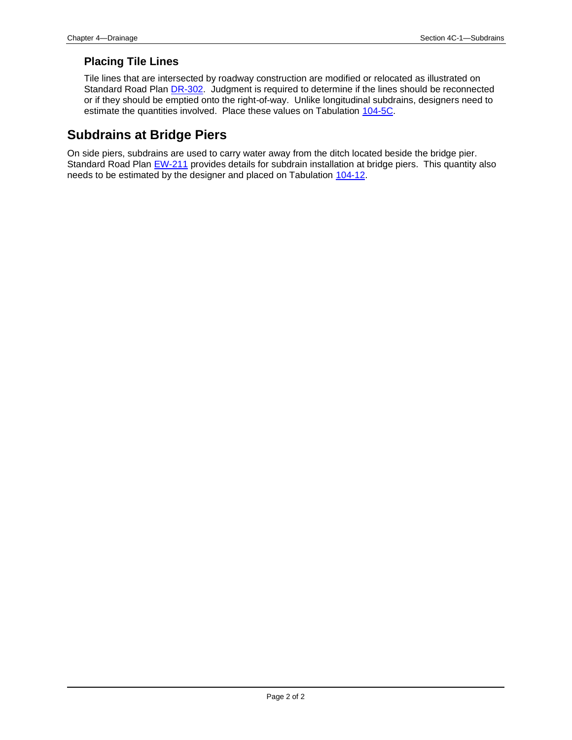#### **Placing Tile Lines**

Tile lines that are intersected by roadway construction are modified or relocated as illustrated on Standard Road Plan [DR-302.](../SRP/IndividualStandards/dr302.pdf) Judgment is required to determine if the lines should be reconnected or if they should be emptied onto the right-of-way. Unlike longitudinal subdrains, designers need to estimate the quantities involved. Place these values on Tabulation [104-5C.](../tnt/PDFsandWebFiles/IndividualPDFs/0104-05C.PDF)

## **Subdrains at Bridge Piers**

On side piers, subdrains are used to carry water away from the ditch located beside the bridge pier. Standard Road Plan [EW-211](../SRP/IndividualStandards/ew211.pdf) provides details for subdrain installation at bridge piers. This quantity also needs to be estimated by the designer and placed on Tabulation [104-12.](../tnt/PDFsandWebFiles/IndividualPDFs/0104-12.PDF)